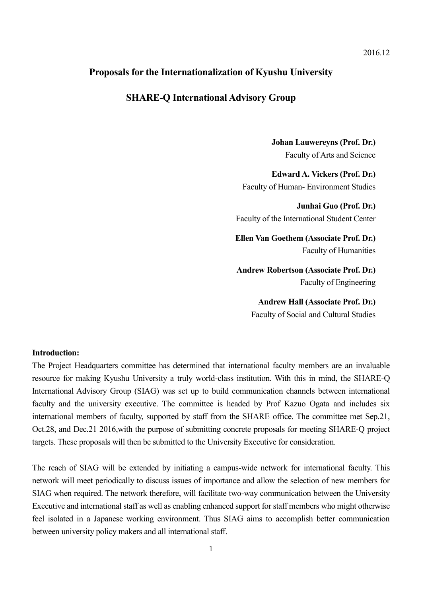## **Proposals for the Internationalization of Kyushu University**

## **SHARE-Q International Advisory Group**

**Johan Lauwereyns (Prof. Dr.)** Faculty of Arts and Science

**Edward A. Vickers (Prof. Dr.)** Faculty of Human- Environment Studies

**Junhai Guo (Prof. Dr.)**  Faculty of the International Student Center

**Ellen Van Goethem (Associate Prof. Dr.)** Faculty of Humanities

**Andrew Robertson (Associate Prof. Dr.)** Faculty of Engineering

**Andrew Hall (Associate Prof. Dr.)**

Faculty of Social and Cultural Studies

#### **Introduction:**

The Project Headquarters committee has determined that international faculty members are an invaluable resource for making Kyushu University a truly world-class institution. With this in mind, the SHARE-Q International Advisory Group (SIAG) was set up to build communication channels between international faculty and the university executive. The committee is headed by Prof Kazuo Ogata and includes six international members of faculty, supported by staff from the SHARE office. The committee met Sep.21, Oct.28, and Dec.21 2016,with the purpose of submitting concrete proposals for meeting SHARE-Q project targets. These proposals will then be submitted to the University Executive for consideration.

The reach of SIAG will be extended by initiating a campus-wide network for international faculty. This network will meet periodically to discuss issues of importance and allow the selection of new members for SIAG when required. The network therefore, will facilitate two-way communication between the University Executive and international staff as well as enabling enhanced support for staff members who might otherwise feel isolated in a Japanese working environment. Thus SIAG aims to accomplish better communication between university policy makers and all international staff.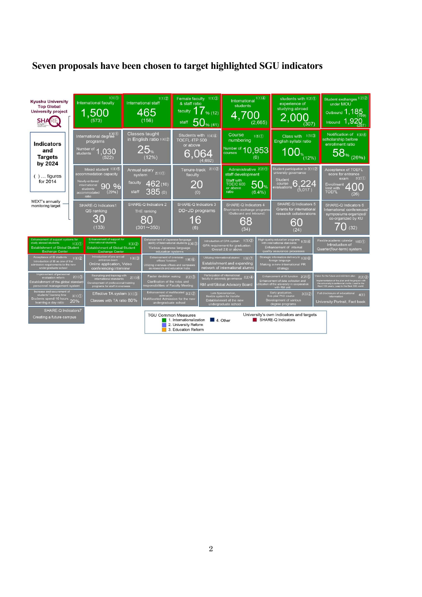## **Seven proposals have been chosen to target highlighted SGU indicators**

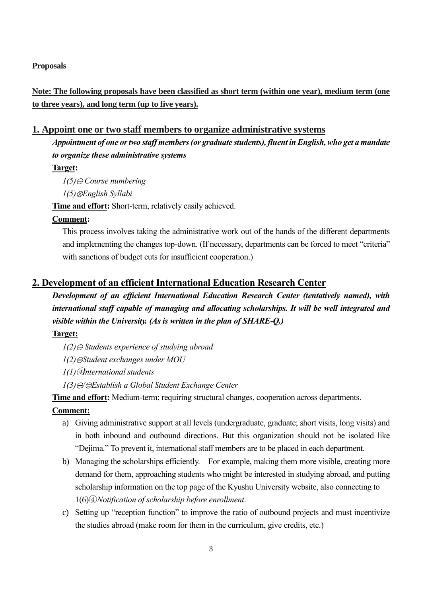#### **Proposals**

**Note: The following proposals have been classified as short term (within one year), medium term (one to three years), and long term (up to five years).**

## **1. Appoint one or two staff members to organize administrative systems**

*Appointment of one or two staff members(or graduate students), fluent in English, who get a mandate to organize these administrative systems*

#### **Target:**

 $1(5) \ominus$  *Course numbering* 

*1(5)*③*English Syllabi*

**Time and effort:** Short-term, relatively easily achieved.

#### **Comment:**

This process involves taking the administrative work out of the hands of the different departments and implementing the changes top-down. (If necessary, departments can be forced to meet "criteria" with sanctions of budget cuts for insufficient cooperation.)

### **2. Development of an efficient International Education Research Center**

*Development of an efficient International Education Research Center (tentatively named), with international staff capable of managing and allocating scholarships. It will be well integrated and visible within the University. (As is written in the plan of SHARE-Q.)*

### **Target:**

 $1(2) \ominus$  *Students experience of studying abroad* 

*1(2)*②*Student exchanges under MOU*

*1(1)*④*International students*

*1(3)*①*/*②*Establish a Global Student Exchange Center*

**Time and effort:** Medium-term; requiring structural changes, cooperation across departments.

#### **Comment:**

- a) Giving administrative support at all levels (undergraduate, graduate; short visits, long visits) and in both inbound and outbound directions. But this organization should not be isolated like "Dejima." To prevent it, international staff members are to be placed in each department.
- b) Managing the scholarships efficiently. For example, making them more visible, creating more demand for them, approaching students who might be interested in studying abroad, and putting scholarship information on the top page of the Kyushu University website, also connecting to 1(6)④*Notification of scholarship before enrollment*.
- c) Setting up "reception function" to improve the ratio of outbound projects and must incentivize the studies abroad (make room for them in the curriculum, give credits, etc.)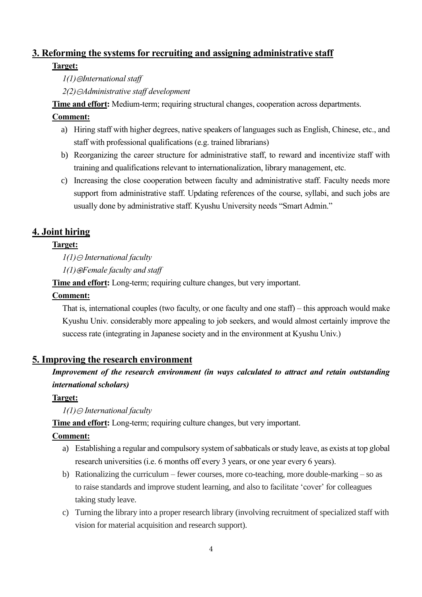# **3. Reforming the systems for recruiting and assigning administrative staff**

## **Target:**

*1(1)*②*International staff* 

*2(2)*①*Administrative staff development*

**Time and effort:** Medium-term; requiring structural changes, cooperation across departments.

# **Comment:**

- a) Hiring staff with higher degrees, native speakers of languages such as English, Chinese, etc., and staff with professional qualifications (e.g. trained librarians)
- b) Reorganizing the career structure for administrative staff, to reward and incentivize staff with training and qualifications relevant to internationalization, library management, etc.
- c) Increasing the close cooperation between faculty and administrative staff. Faculty needs more support from administrative staff. Updating references of the course, syllabi, and such jobs are usually done by administrative staff. Kyushu University needs "Smart Admin."

# **4. Joint hiring**

# **Target:**

*1(1)* ⊝ *International faculty* 

*1(1)*③*Female faculty and staff*

**Time and effort:** Long-term; requiring culture changes, but very important.

# **Comment:**

That is, international couples (two faculty, or one faculty and one staff) – this approach would make Kyushu Univ. considerably more appealing to job seekers, and would almost certainly improve the success rate (integrating in Japanese society and in the environment at Kyushu Univ.)

# **5. Improving the research environment**

# *Improvement of the research environment (in ways calculated to attract and retain outstanding international scholars)*

# **Target:**

*1*(*1*)⊝ *International faculty* 

**Time and effort:** Long-term; requiring culture changes, but very important.

# **Comment:**

- a) Establishing a regular and compulsory system of sabbaticals or study leave, as exists at top global research universities (i.e. 6 months off every 3 years, or one year every 6 years).
- b) Rationalizing the curriculum fewer courses, more co-teaching, more double-marking so as to raise standards and improve student learning, and also to facilitate 'cover' for colleagues taking study leave.
- c) Turning the library into a proper research library (involving recruitment of specialized staff with vision for material acquisition and research support).